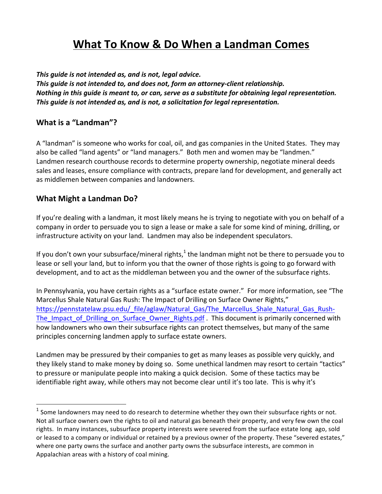# **What To Know & Do When a Landman Comes**

This guide is not intended as, and is not, legal advice.

This guide is not intended to, and does not, form an attorney-client relationship. *Nothing* in this guide is meant to, or can, serve as a substitute for obtaining legal representation. This guide is not intended as, and is not, a solicitation for legal representation.

# **What is a "Landman"?**

A "landman" is someone who works for coal, oil, and gas companies in the United States. They may also be called "land agents" or "land managers." Both men and women may be "landmen." Landmen research courthouse records to determine property ownership, negotiate mineral deeds sales and leases, ensure compliance with contracts, prepare land for development, and generally act as middlemen between companies and landowners.

# **What Might a Landman Do?**

 

If you're dealing with a landman, it most likely means he is trying to negotiate with you on behalf of a company in order to persuade you to sign a lease or make a sale for some kind of mining, drilling, or infrastructure activity on your land. Landmen may also be independent speculators.

If you don't own your subsurface/mineral rights,<sup>1</sup> the landman might not be there to persuade you to lease or sell your land, but to inform you that the owner of those rights is going to go forward with development, and to act as the middleman between you and the owner of the subsurface rights.

In Pennsylvania, you have certain rights as a "surface estate owner." For more information, see "The Marcellus Shale Natural Gas Rush: The Impact of Drilling on Surface Owner Rights," https://pennstatelaw.psu.edu/\_file/aglaw/Natural\_Gas/The\_Marcellus\_Shale\_Natural\_Gas\_Rush-The Impact of Drilling on Surface Owner Rights.pdf . This document is primarily concerned with how landowners who own their subsurface rights can protect themselves, but many of the same principles concerning landmen apply to surface estate owners.

Landmen may be pressured by their companies to get as many leases as possible very quickly, and they likely stand to make money by doing so. Some unethical landmen may resort to certain "tactics" to pressure or manipulate people into making a quick decision. Some of these tactics may be identifiable right away, while others may not become clear until it's too late. This is why it's

 $1$  Some landowners may need to do research to determine whether they own their subsurface rights or not. Not all surface owners own the rights to oil and natural gas beneath their property, and very few own the coal rights. In many instances, subsurface property interests were severed from the surface estate long ago, sold or leased to a company or individual or retained by a previous owner of the property. These "severed estates," where one party owns the surface and another party owns the subsurface interests, are common in Appalachian areas with a history of coal mining.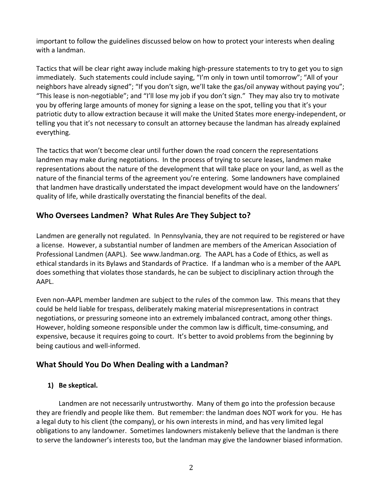important to follow the guidelines discussed below on how to protect your interests when dealing with a landman.

Tactics that will be clear right away include making high-pressure statements to try to get you to sign immediately. Such statements could include saying, "I'm only in town until tomorrow"; "All of your neighbors have already signed"; "If you don't sign, we'll take the gas/oil anyway without paying you"; "This lease is non-negotiable"; and "I'll lose my job if you don't sign." They may also try to motivate you by offering large amounts of money for signing a lease on the spot, telling you that it's your patriotic duty to allow extraction because it will make the United States more energy-independent, or telling you that it's not necessary to consult an attorney because the landman has already explained everything.

The tactics that won't become clear until further down the road concern the representations landmen may make during negotiations. In the process of trying to secure leases, landmen make representations about the nature of the development that will take place on your land, as well as the nature of the financial terms of the agreement you're entering. Some landowners have complained that landmen have drastically understated the impact development would have on the landowners' quality of life, while drastically overstating the financial benefits of the deal.

# **Who Oversees Landmen? What Rules Are They Subject to?**

Landmen are generally not regulated. In Pennsylvania, they are not required to be registered or have a license. However, a substantial number of landmen are members of the American Association of Professional Landmen (AAPL). See www.landman.org. The AAPL has a Code of Ethics, as well as ethical standards in its Bylaws and Standards of Practice. If a landman who is a member of the AAPL does something that violates those standards, he can be subject to disciplinary action through the AAPL.

Even non-AAPL member landmen are subject to the rules of the common law. This means that they could be held liable for trespass, deliberately making material misrepresentations in contract negotiations, or pressuring someone into an extremely imbalanced contract, among other things. However, holding someone responsible under the common law is difficult, time-consuming, and expensive, because it requires going to court. It's better to avoid problems from the beginning by being cautious and well-informed.

# **What Should You Do When Dealing with a Landman?**

### **1) Be skeptical.**

Landmen are not necessarily untrustworthy. Many of them go into the profession because they are friendly and people like them. But remember: the landman does NOT work for you. He has a legal duty to his client (the company), or his own interests in mind, and has very limited legal obligations to any landowner. Sometimes landowners mistakenly believe that the landman is there to serve the landowner's interests too, but the landman may give the landowner biased information.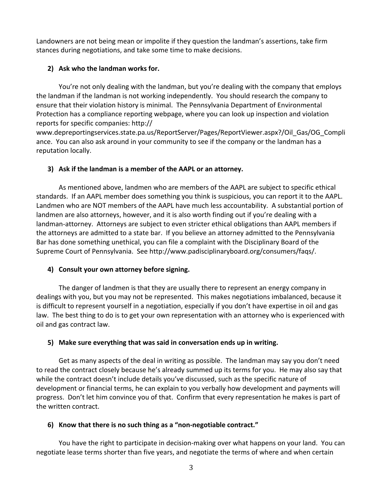Landowners are not being mean or impolite if they question the landman's assertions, take firm stances during negotiations, and take some time to make decisions.

## **2) Ask who the landman works for.**

You're not only dealing with the landman, but you're dealing with the company that employs the landman if the landman is not working independently. You should research the company to ensure that their violation history is minimal. The Pennsylvania Department of Environmental Protection has a compliance reporting webpage, where you can look up inspection and violation reports for specific companies: http://

www.depreportingservices.state.pa.us/ReportServer/Pages/ReportViewer.aspx?/Oil\_Gas/OG\_Compli ance. You can also ask around in your community to see if the company or the landman has a reputation locally.

## **3)** Ask if the landman is a member of the AAPL or an attorney.

As mentioned above, landmen who are members of the AAPL are subject to specific ethical standards. If an AAPL member does something you think is suspicious, you can report it to the AAPL. Landmen who are NOT members of the AAPL have much less accountability. A substantial portion of landmen are also attorneys, however, and it is also worth finding out if you're dealing with a landman-attorney. Attorneys are subject to even stricter ethical obligations than AAPL members if the attorneys are admitted to a state bar. If you believe an attorney admitted to the Pennsylvania Bar has done something unethical, you can file a complaint with the Disciplinary Board of the Supreme Court of Pennsylvania. See http://www.padisciplinaryboard.org/consumers/faqs/.

### **4) Consult your own attorney before signing.**

The danger of landmen is that they are usually there to represent an energy company in dealings with you, but you may not be represented. This makes negotiations imbalanced, because it is difficult to represent yourself in a negotiation, especially if you don't have expertise in oil and gas law. The best thing to do is to get your own representation with an attorney who is experienced with oil and gas contract law.

### **5)** Make sure everything that was said in conversation ends up in writing.

Get as many aspects of the deal in writing as possible. The landman may say you don't need to read the contract closely because he's already summed up its terms for you. He may also say that while the contract doesn't include details you've discussed, such as the specific nature of development or financial terms, he can explain to you verbally how development and payments will progress. Don't let him convince you of that. Confirm that every representation he makes is part of the written contract.

### **6)** Know that there is no such thing as a "non-negotiable contract."

You have the right to participate in decision-making over what happens on your land. You can negotiate lease terms shorter than five years, and negotiate the terms of where and when certain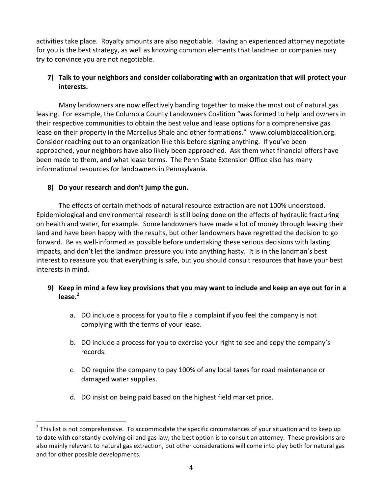activities take place. Royalty amounts are also negotiable. Having an experienced attorney negotiate for you is the best strategy, as well as knowing common elements that landmen or companies may try to convince you are not negotiable.

## **7)** Talk to your neighbors and consider collaborating with an organization that will protect your **interests.**

Many landowners are now effectively banding together to make the most out of natural gas leasing. For example, the Columbia County Landowners Coalition "was formed to help land owners in their respective communities to obtain the best value and lease options for a comprehensive gas lease on their property in the Marcellus Shale and other formations." www.columbiacoalition.org. Consider reaching out to an organization like this before signing anything. If you've been approached, your neighbors have also likely been approached. Ask them what financial offers have been made to them, and what lease terms. The Penn State Extension Office also has many informational resources for landowners in Pennsylvania.

## **8)** Do your research and don't jump the gun.

 

The effects of certain methods of natural resource extraction are not 100% understood. Epidemiological and environmental research is still being done on the effects of hydraulic fracturing on health and water, for example. Some landowners have made a lot of money through leasing their land and have been happy with the results, but other landowners have regretted the decision to go forward. Be as well-informed as possible before undertaking these serious decisions with lasting impacts, and don't let the landman pressure you into anything hasty. It is in the landman's best interest to reassure you that everything is safe, but you should consult resources that have your best interests in mind.

- **9)** Keep in mind a few key provisions that you may want to include and keep an eye out for in a **lease.<sup>2</sup>**
	- a. DO include a process for you to file a complaint if you feel the company is not complying with the terms of your lease.
	- b. DO include a process for you to exercise your right to see and copy the company's records.
	- c. DO require the company to pay 100% of any local taxes for road maintenance or damaged water supplies.
	- d. DO insist on being paid based on the highest field market price.

 $2$  This list is not comprehensive. To accommodate the specific circumstances of your situation and to keep up to date with constantly evolving oil and gas law, the best option is to consult an attorney. These provisions are also mainly relevant to natural gas extraction, but other considerations will come into play both for natural gas and for other possible developments.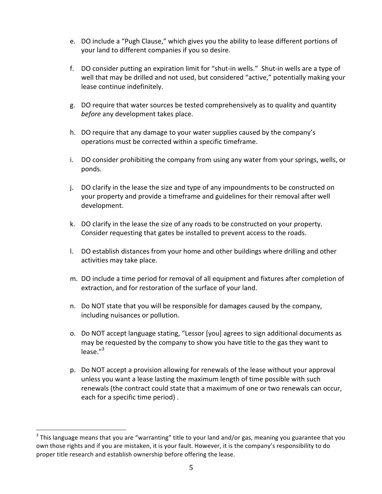- e. DO include a "Pugh Clause," which gives you the ability to lease different portions of your land to different companies if you so desire.
- f. DO consider putting an expiration limit for "shut-in wells." Shut-in wells are a type of well that may be drilled and not used, but considered "active," potentially making your lease continue indefinitely.
- g. DO require that water sources be tested comprehensively as to quality and quantity before any development takes place.
- h. DO require that any damage to your water supplies caused by the company's operations must be corrected within a specific timeframe.
- i. DO consider prohibiting the company from using any water from your springs, wells, or ponds.
- j. DO clarify in the lease the size and type of any impoundments to be constructed on your property and provide a timeframe and guidelines for their removal after well development.
- k. DO clarify in the lease the size of any roads to be constructed on your property. Consider requesting that gates be installed to prevent access to the roads.
- l. DO establish distances from your home and other buildings where drilling and other activities may take place.
- m. DO include a time period for removal of all equipment and fixtures after completion of extraction, and for restoration of the surface of your land.
- n. Do NOT state that you will be responsible for damages caused by the company, including nuisances or pollution.
- o. Do NOT accept language stating, "Lessor [you] agrees to sign additional documents as may be requested by the company to show you have title to the gas they want to  $lease."$ <sup>3</sup>
- p. Do NOT accept a provision allowing for renewals of the lease without your approval unless you want a lease lasting the maximum length of time possible with such renewals (the contract could state that a maximum of one or two renewals can occur, each for a specific time period).

 

<sup>&</sup>lt;sup>3</sup> This language means that you are "warranting" title to your land and/or gas, meaning you guarantee that you own those rights and if you are mistaken, it is your fault. However, it is the company's responsibility to do proper title research and establish ownership before offering the lease.